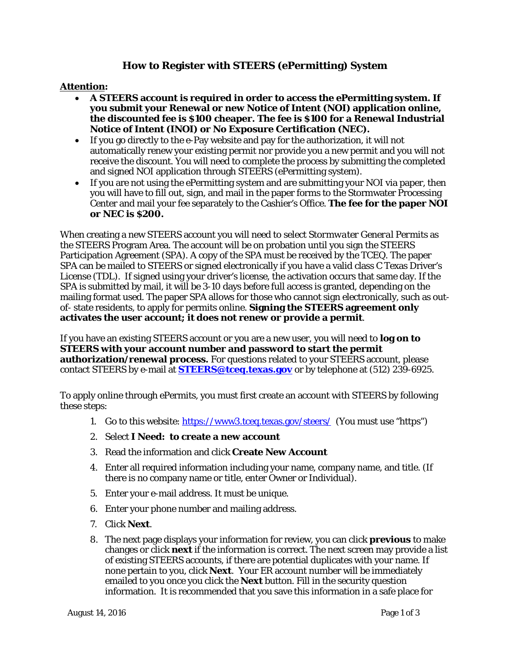## **How to Register with STEERS (***e***Permitting) System**

## **Attention:**

- **A STEERS account is required in order to access the** *e***Permitting system. If you submit your Renewal or new Notice of Intent (NOI) application online, the discounted fee is \$100 cheaper. The fee is \$100 for a Renewal Industrial Notice of Intent (INOI) or No Exposure Certification (NEC).**
- If you go directly to the e-Pay website and pay for the authorization, it will not automatically renew your existing permit nor provide you a new permit and you will not receive the discount. You will need to complete the process by submitting the completed and signed NOI application through STEERS (*e*Permitting system).
- If you are not using the *e*Permitting system and are submitting your NOI via paper, then you will have to fill out, sign, and mail in the paper forms to the Stormwater Processing Center and mail your fee separately to the Cashier's Office. **The fee for the paper NOI or NEC is \$200.**

When creating a new STEERS account you will need to select *Stormwater General Permits* as the STEERS Program Area. The account will be on probation until you sign the STEERS Participation Agreement (SPA). A copy of the SPA must be received by the TCEQ. The paper SPA can be mailed to STEERS or signed electronically if you have a valid class C Texas Driver's License (TDL). If signed using your driver's license, the activation occurs that same day. If the SPA is submitted by mail, it will be 3-10 days before full access is granted, depending on the mailing format used. The paper SPA allows for those who cannot sign electronically, such as outof- state residents, to apply for permits online. **Signing the STEERS agreement only activates the user account; it does not renew or provide a permit**.

If you have an existing STEERS account or you are a new user, you will need to **log on to STEERS with your account number and password to start the permit authorization/renewal process.** For questions related to your STEERS account, please contact STEERS by e-mail at **[STEERS@tceq.texas.gov](mailto:STEERS@tceq.texas.gov)** or by telephone at (512) 239-6925.

To apply online through *e*Permits, you must first create an account with STEERS by following these steps:

- 1. Go to this website:<https://www3.tceq.texas.gov/steers/>(You must use "https")
- 2. Select **I Need: to create a new account**
- 3. Read the information and click **Create New Account**
- 4. Enter all required information including your name, company name, and title. (If there is no company name or title, enter Owner or Individual).
- 5. Enter your e-mail address. It must be unique.
- 6. Enter your phone number and mailing address.
- 7. Click **Next**.
- 8. The next page displays your information for review, you can click **previous** to make changes or click **next** if the information is correct. The next screen may provide a list of existing STEERS accounts, if there are potential duplicates with your name. If none pertain to you, click **Next**. Your ER account number will be immediately emailed to you once you click the **Next** button. Fill in the security question information. It is recommended that you save this information in a safe place for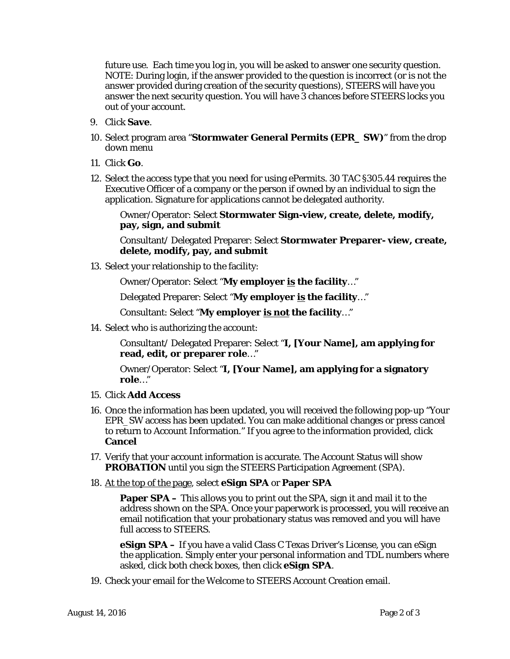future use. Each time you log in, you will be asked to answer one security question. NOTE: During login, if the answer provided to the question is incorrect (or is not the answer provided during creation of the security questions), STEERS will have you answer the next security question. You will have 3 chances before STEERS locks you out of your account.

- 9. Click **Save**.
- 10. Select program area "**Stormwater General Permits (EPR\_ SW)**" from the drop down menu
- 11. Click **Go**.
- 12. Select the access type that you need for using ePermits. 30 TAC §305.44 requires the Executive Officer of a company or the person if owned by an individual to sign the application. Signature for applications cannot be delegated authority.

Owner/Operator: Select **Stormwater Sign-view, create, delete, modify, pay, sign, and submit**

Consultant/ Delegated Preparer: Select **Stormwater Preparer- view, create, delete, modify, pay, and submit**

13. Select your relationship to the facility:

Owner/Operator: Select "**My employer is the facility**…"

Delegated Preparer: Select "**My employer is the facility**…"

Consultant: Select "**My employer is not the facility**…"

14. Select who is authorizing the account:

Consultant/ Delegated Preparer: Select "**I, [Your Name], am applying for read, edit, or preparer role**…"

Owner/Operator: Select "**I, [Your Name], am applying for a signatory role**…"

- 15. Click **Add Access**
- 16. Once the information has been updated, you will received the following pop-up "Your EPR\_SW access has been updated. You can make additional changes or press cancel to return to Account Information." If you agree to the information provided, click **Cancel**
- 17. Verify that your account information is accurate. The Account Status will show **PROBATION** until you sign the STEERS Participation Agreement (SPA).
- 18. At the top of the page, select **eSign SPA** or **Paper SPA**

**Paper SPA** – This allows you to print out the SPA, sign it and mail it to the address shown on the SPA. Once your paperwork is processed, you will receive an email notification that your probationary status was removed and you will have full access to STEERS.

**eSign SPA –** If you have a valid Class C Texas Driver's License, you can eSign the application. Simply enter your personal information and TDL numbers where asked, click both check boxes, then click **eSign SPA**.

19. Check your email for the Welcome to STEERS Account Creation email.